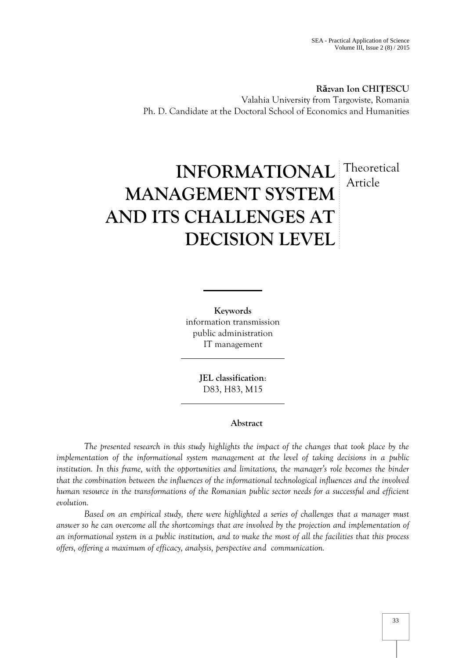**R zvan Ion CHIȚESCU** Valahia University from Targoviste, Romania Ph. D. Candidate at the Doctoral School of Economics and Humanities

# **INFORMATIONAL** Theoretical **MANAGEMENT SYSTEM AND ITS CHALLENGES AT DECISION LEVEL** Article

**Keywords** information transmission public administration IT management

> **JEL classification**: D83, H83, M15

# **Abstract**

*The presented research in this study highlights the impact of the changes that took place by the implementation of the informational system management at the level of taking decisions in a public institution. In this frame, with the opportunities and limitations, the manager's role becomes the binder that the combination between the influences of the informational technological influences and the involved human resource in the transformations of the Romanian public sector needs for a successful and efficient evolution.*

*Based on an empirical study, there were highlighted a series of challenges that a manager must answer so he can overcome all the shortcomings that are involved by the projection and implementation of an informational system in a public institution, and to make the most of all the facilities that this process offers, offering a maximum of efficacy, analysis, perspective and communication.*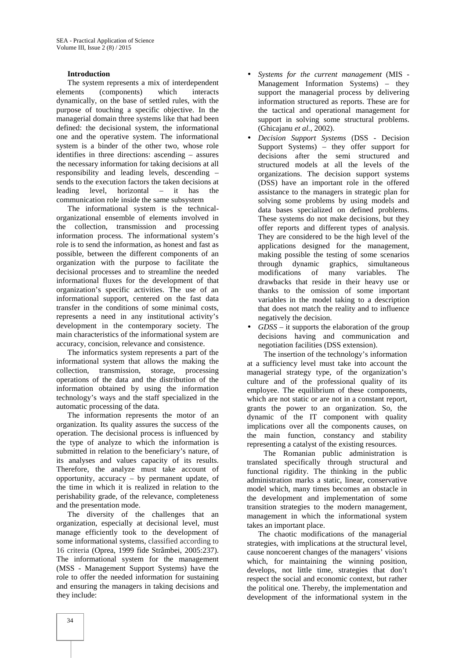#### **Introduction**

The system represents a mix of interdependent elements (components) which interacts dynamically, on the base of settled rules, with the purpose of touching a specific objective. In the managerial domain three systems like that had been defined: the decisional system, the informational one and the operative system. The informational system is a binder of the other two, whose role identifies in three directions: ascending – assures the necessary information for taking decisions at all responsibility and leading levels, descending – sends to the execution factors the taken decisions at leading level, horizontal – it has the communication role inside the same subsystem

The informational system is the technical organizational ensemble of elements involved in the collection, transmission and processing information process. The informational system's role is to send the information, as honest and fast as possible, between the different components of an organization with the purpose to facilitate the decisional processes and to streamline the needed informational fluxes for the development of that organization's specific activities. The use of an informational support, centered on the fast data transfer in the conditions of some minimal costs, represents a need in any institutional activity's development in the contemporary society. The main characteristics of the informational system are accuracy, concision, relevance and consistence.

The informatics system represents a part of the informational system that allows the making the collection, transmission, storage, processing operations of the data and the distribution of the information obtained by using the information technology's ways and the staff specialized in the automatic processing of the data.

The information represents the motor of an organization. Its quality assures the success of the operation. The decisional process is influenced by the type of analyze to which the information is submitted in relation to the beneficiary's nature, of its analyses and values capacity of its results. Therefore, the analyze must take account of opportunity, accuracy – by permanent update, of the time in which it is realized in relation to the perishability grade, of the relevance, completeness and the presentation mode.

The diversity of the challenges that an organization, especially at decisional level, must manage efficiently took to the development of some informational systems, classified according to 16 criteria (Oprea, 1999 fide Strâmbei, 2005:237). The informational system for the management (MSS - Management Support Systems) have the role to offer the needed information for sustaining and ensuring the managers in taking decisions and they include:

- *Systems for the current management* (MIS Management Information Systems) – they support the managerial process by delivering information structured as reports. These are for the tactical and operational management for support in solving some structural problems. (Ghicajanu *et al.*, 2002).
- *Decision Support Systems* (DSS Decision Support Systems) – they offer support for decisions after the semi structured and structured models at all the levels of the organizations. The decision support systems (DSS) have an important role in the offered assistance to the managers in strategic plan for solving some problems by using models and data bases specialized on defined problems. These systems do not make decisions, but they offer reports and different types of analysis. They are considered to be the high level of the applications designed for the management, making possible the testing of some scenarios through dynamic graphics, simultaneous modifications of many variables. The drawbacks that reside in their heavy use or thanks to the omission of some important variables in the model taking to a description that does not match the reality and to influence negatively the decision.
- *GDSS* it supports the elaboration of the group decisions having and communication and negotiation facilities (DSS extension).

The insertion of the technology's information at a sufficiency level must take into account the managerial strategy type, of the organization's culture and of the professional quality of its employee. The equilibrium of these components, which are not static or are not in a constant report. grants the power to an organization. So, the dynamic of the IT component with quality implications over all the components causes, on the main function, constancy and stability representing a catalyst of the existing resources.

The Romanian public administration is translated specifically through structural and functional rigidity. The thinking in the public administration marks a static, linear, conservative model which, many times becomes an obstacle in the development and implementation of some transition strategies to the modern management, management in which the informational system takes an important place.

The chaotic modifications of the managerial strategies, with implications at the structural level, cause noncoerent changes of the managers' visions which, for maintaining the winning position, develops, not little time, strategies that don't respect the social and economic context, but rather the political one. Thereby, the implementation and development of the informational system in the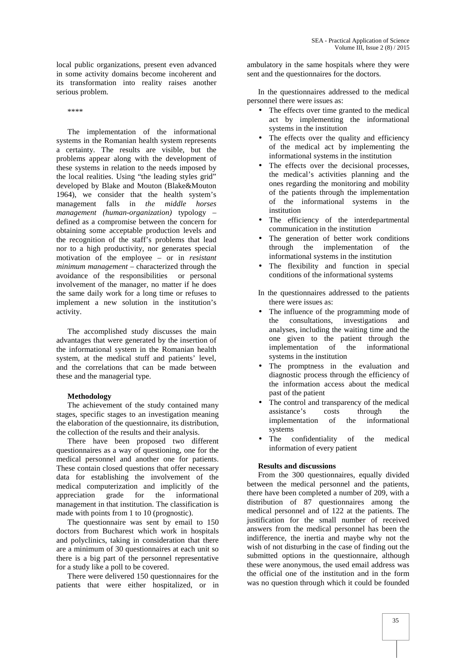local public organizations, present even advanced in some activity domains become incoherent and its transformation into reality raises another serious problem.

\*\*\*\*

The implementation of the informational systems in the Romanian health system represents a certainty. The results are visible, but the problems appear along with the development of these systems in relation to the needs imposed by the local realities. Using "the leading styles grid" developed by Blake and Mouton (Blake&Mouton 1964), we consider that the health system's management falls in *the middle horses management (human-organization)* typology – defined as a compromise between the concern for obtaining some acceptable production levels and the recognition of the staff's problems that lead nor to a high productivity, nor generates special motivation of the employee – or in *resistant minimum management* – characterized through the avoidance of the responsibilities or personal involvement of the manager, no matter if he does the same daily work for a long time or refuses to implement a new solution in the institution's activity.

The accomplished study discusses the main advantages that were generated by the insertion of the informational system in the Romanian health system, at the medical stuff and patients' level, and the correlations that can be made between these and the managerial type.

#### **Methodology**

The achievement of the study contained many stages, specific stages to an investigation meaning the elaboration of the questionnaire, its distribution, the collection of the results and their analysis.

There have been proposed two different questionnaires as a way of questioning, one for the medical personnel and another one for patients. These contain closed questions that offer necessary data for establishing the involvement of the medical computerization and implicitly of the appreciation grade for the informational management in that institution. The classification is made with points from 1 to 10 (prognostic).

The questionnaire was sent by email to 150 doctors from Bucharest which work in hospitals and polyclinics, taking in consideration that there are a minimum of 30 questionnaires at each unit so there is a big part of the personnel representative for a study like a poll to be covered.

There were delivered 150 questionnaires for the patients that were either hospitalized, or in ambulatory in the same hospitals where they were sent and the questionnaires for the doctors.

In the questionnaires addressed to the medical personnel there were issues as:

- The effects over time granted to the medical act by implementing the informational systems in the institution
- The effects over the quality and efficiency of the medical act by implementing the informational systems in the institution
- The effects over the decisional processes, the medical's activities planning and the ones regarding the monitoring and mobility of the patients through the implementation of the informational systems in the institution
- The efficiency of the interdepartmental communication in the institution
- The generation of better work conditions through the implementation of the informational systems in the institution
- The flexibility and function in special conditions of the informational systems
- In the questionnaires addressed to the patients there were issues as:
- The influence of the programming mode of<br>the consultations. investigations and the consultations, investigations and analyses, including the waiting time and the one given to the patient through the<br>implementation of the informational implementation systems in the institution
- The promptness in the evaluation and diagnostic process through the efficiency of the information access about the medical past of the patient
- The control and transparency of the medical assistance's costs through the implementation of the informational systems
- The confidentiality of the medical information of every patient

#### **Results and discussions**

From the 300 questionnaires, equally divided between the medical personnel and the patients, there have been completed a number of 209, with a distribution of 87 questionnaires among the medical personnel and of 122 at the patients. The justification for the small number of received answers from the medical personnel has been the indifference, the inertia and maybe why not the wish of not disturbing in the case of finding out the submitted options in the questionnaire, although these were anonymous, the used email address was the official one of the institution and in the form was no question through which it could be founded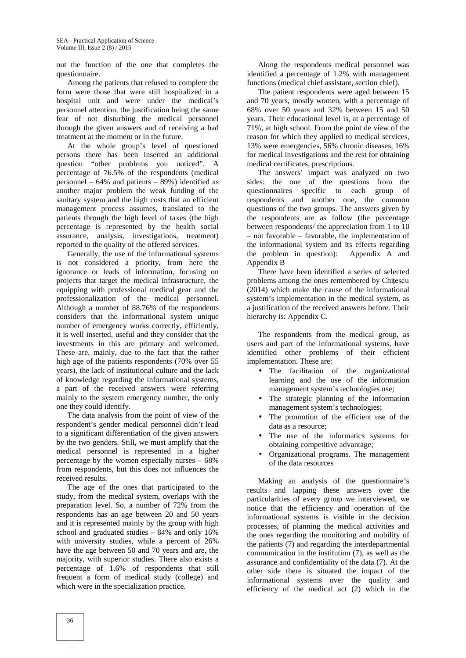out the function of the one that completes the questionnaire.

Among the patients that refused to complete the form were those that were still hospitalized in a hospital unit and were under the medical's personnel attention, the justification being the same fear of not disturbing the medical personnel through the given answers and of receiving a bad treatment at the moment or in the future.

At the whole group's level of questioned persons there has been inserted an additional question "other problems you noticed". A percentage of 76.5% of the respondents (medical personnel – 64% and patients – 89%) identified as another major problem the weak funding of the sanitary system and the high costs that an efficient management process assumes, translated to the patients through the high level of taxes (the high percentage is represented by the health social assurance, analysis, investigations, treatment) reported to the quality of the offered services.

Generally, the use of the informational systems is not considered a priority, from here the ignorance or leads of information, focusing on projects that target the medical infrastructure, the equipping with professional medical gear and the professionalization of the medical personnel. Although a number of 88.76% of the respondents considers that the informational system unique number of emergency works correctly, efficiently, it is well inserted, useful and they consider that the investments in this are primary and welcomed. These are, mainly, due to the fact that the rather high age of the patients respondents (70% over 55 years), the lack of institutional culture and the lack of knowledge regarding the informational systems, a part of the received answers were referring mainly to the system emergency number, the only one they could identify.

The data analysis from the point of view of the respondent's gender medical personnel didn't lead to a significant differentiation of the given answers by the two genders. Still, we must amplify that the medical personnel is represented in a higher percentage by the women especially nurses – 68% from respondents, but this does not influences the received results.

The age of the ones that participated to the study, from the medical system, overlaps with the preparation level. So, a number of 72% from the respondents has an age between 20 and 50 years and it is represented mainly by the group with high school and graduated studies – 84% and only 16% with university studies, while a percent of 26% have the age between 50 and 70 years and are, the majority, with superior studies. There also exists a percentage of 1.6% of respondents that still frequent a form of medical study (college) and which were in the specialization practice.

Along the respondents medical personnel was identified a percentage of 1.2% with management functions (medical chief assistant, section chief).

The patient respondents were aged between 15 and 70 years, mostly women, with a percentage of 68% over 50 years and 32% between 15 and 50 years. Their educational level is, at a percentage of 71%, at high school. From the point de view of the reason for which they applied to medical services, 13% were emergencies, 56% chronic diseases, 16% for medical investigations and the rest for obtaining medical certificates, prescriptions.

The answers' impact was analyzed on two sides: the one of the questions from the questionnaires specific to each group of respondents and another one, the common questions of the two groups. The answers given by the respondents are as follow (the percentage between respondents/ the appreciation from 1 to 10 – not favorable – favorable, the implementation of the informational system and its effects regarding the problem in question): Appendix A and Appendix B

There have been identified a series of selected problems among the ones remembered by Chițescu (2014) which make the cause of the informational system's implementation in the medical system, as a justification of the received answers before. Their hierarchy is: Appendix C.

The respondents from the medical group, as users and part of the informational systems, have identified other problems of their efficient implementation. These are:

- The facilitation of the organizational learning and the use of the information management system's technologies use;
- The strategic planning of the information management system's technologies;
- The promotion of the efficient use of the data as a resource;
- The use of the informatics systems for obtaining competitive advantage;
- Organizational programs. The management of the data resources

Making an analysis of the questionnaire's results and lapping these answers over the particularities of every group we interviewed, we notice that the efficiency and operation of the informational systems is visible in the decision processes, of planning the medical activities and the ones regarding the monitoring and mobility of the patients (7) and regarding the interdepartmental communication in the institution (7), as well as the assurance and confidentiality of the data (7). At the other side there is situated the impact of the informational systems over the quality and efficiency of the medical act (2) which in the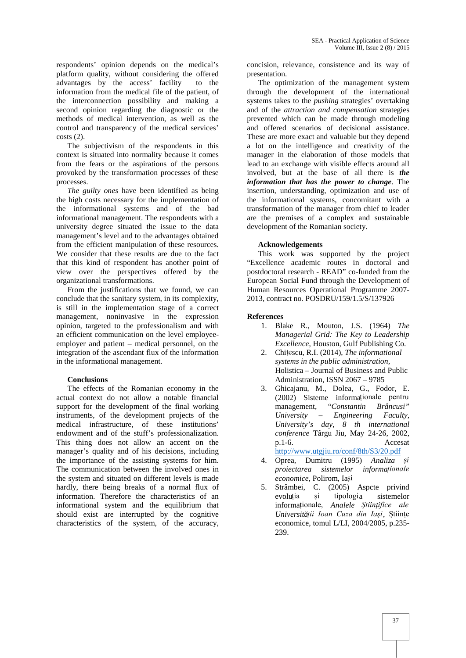respondents' opinion depends on the medical's platform quality, without considering the offered advantages by the access' facility to the information from the medical file of the patient, of the interconnection possibility and making a second opinion regarding the diagnostic or the methods of medical intervention, as well as the control and transparency of the medical services' costs (2).

The subjectivism of the respondents in this context is situated into normality because it comes from the fears or the aspirations of the persons provoked by the transformation processes of these processes.

*The guilty ones* have been identified as being the high costs necessary for the implementation of the informational systems and of the bad informational management. The respondents with a university degree situated the issue to the data management's level and to the advantages obtained from the efficient manipulation of these resources. We consider that these results are due to the fact that this kind of respondent has another point of view over the perspectives offered by the organizational transformations.

From the justifications that we found, we can conclude that the sanitary system, in its complexity, is still in the implementation stage of a correct management, noninvasive in the expression opinion, targeted to the professionalism and with an efficient communication on the level employee employer and patient – medical personnel, on the integration of the ascendant flux of the information in the informational management.

#### **Conclusions**

The effects of the Romanian economy in the actual context do not allow a notable financial support for the development of the final working instruments, of the development projects of the medical infrastructure, of these institutions' endowment and of the stuff's professionalization. This thing does not allow an accent on the manager's quality and of his decisions, including the importance of the assisting systems for him. The communication between the involved ones in the system and situated on different levels is made hardly, there being breaks of a normal flux of information. Therefore the characteristics of an informational system and the equilibrium that should exist are interrupted by the cognitive characteristics of the system, of the accuracy,

concision, relevance, consistence and its way of presentation.

The optimization of the management system through the development of the international systems takes to the *pushing* strategies' overtaking and of the *attraction and compensation* strategies prevented which can be made through modeling and offered scenarios of decisional assistance. These are more exact and valuable but they depend a lot on the intelligence and creativity of the manager in the elaboration of those models that lead to an exchange with visible effects around all involved, but at the base of all there is *the information that has the power to change*. The insertion, understanding, optimization and use of the informational systems, concomitant with a transformation of the manager from chief to leader are the premises of a complex and sustainable development of the Romanian society.

#### **Acknowledgements**

This work was supported by the project "Excellence academic routes in doctoral and postdoctoral research - READ" co-funded from the European Social Fund through the Development of Human Resources Operational Programme 2007- 2013, contract no. POSDRU/159/1.5/S/137926

#### **References**

- 1. Blake R., Mouton, J.S. (1964) *The Managerial Grid: The Key to Leadership Excellence*, Houston, Gulf Publishing Co.
- 2. Chițescu, R.I. (2014), *The informational systems in the public administration,* Holistica – Journal of Business and Public Administration, ISSN 2067 – 9785
- 3. Ghicajanu, M., Dolea, G., Fodor, E. (2002) Sisteme informaționale pentru management, "*Constantin Brâncusi" University – Engineering Faculty, University's day, 8 th international conference* Târgu Jiu, May 24-26, 2002, p.1-6. Accesat http://www.utgjiu.ro/conf/8th/S3/20.pdf
- 4. Oprea, Dumitru (1995) *Analiza și proiectarea sistemelor informaționale economice*, Polirom, Ia i
- 5. Strâmbei, C. (2005) Aspcte privind evoluția și tipologia sistemelor informaționale, *Analele Științifice ale Universității Ioan Cuza din Iași*, Științe economice, tomul L/LI, 2004/2005, p.235- 239.